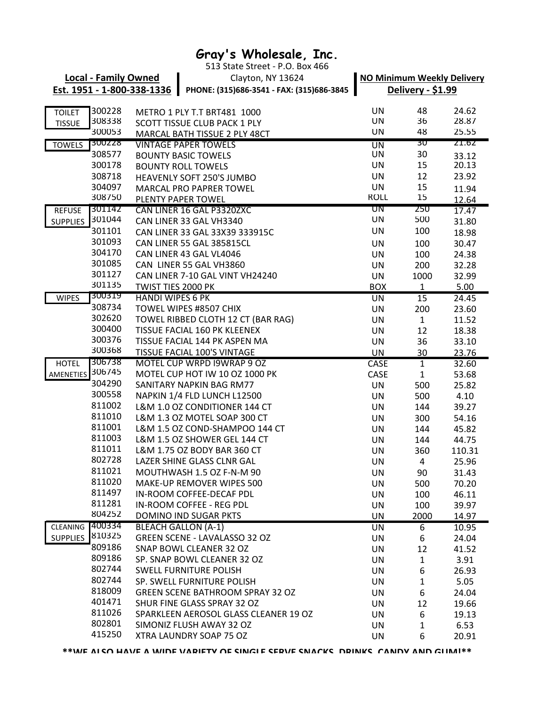## **Gray's Wholesale, Inc.**

TOILET 300228 METRO 1 PLY T.T BRT481 1000 UN UN 48 24.62 TISSUE 308338 SCOTT TISSUE CLUB PACK 1 PLY THE STATE STATE ON THE 36 28.87 300053 UN 48 25.55 MARCAL BATH TISSUE 2 PLY 48CT TOWELS 300228 UN 30 21.62 VINTAGE PAPER TOWELS 308577 BOUNTY BASIC TOWELS **CONTRACT CONSUMING THE SET OF SAMPLE SET ASSESS** UN 30 33.12 300178 UN 15 20.13 BOUNTY ROLL TOWELS 308718 UN 12 23.92 HEAVENLY SOFT 250'S JUMBO 304097 MARCAL PRO PAPRER TOWEL **15** UN 15 11.94 308750 ROLL 15 12.64 PLENTY PAPER TOWEL REFUSE 301142 UN 250 17.47 CAN LINER 16 GAL P3320ZXC <u>SUPPLIES 301044</u> CAN LINER 33 GAL VH3340 CAN UN 500 31.80 301101 CAN LINER 33 GAL 33X39 333915C UN 100 18.98 301093 UN 100 30.47 CAN LINER 55 GAL 385815CL 304170 CAN LINER 43 GAL VL4046 **EXECUTE:** UN 100 24.38 301085 UN 200 32.28 CAN LINER 55 GAL VH3860 301127 CAN LINER 7-10 GAL VINT VH24240 UN 1000 32.99 301135 TWIST TIES 2000 PK BOX 1 5.00 WIPES 300319 UN 15 24.45 HANDI WIPES 6 PK 308734 UN 200 23.60 TOWEL WIPES #8507 CHIX 302620 TOWEL RIBBED CLOTH 12 CT (BAR RAG) UN 1 11.52 300400 UN 12 18.38 TISSUE FACIAL 160 PK KLEENEX 300376 UN 36 33.10 TISSUE FACIAL 144 PK ASPEN MA 300368 UN 30 23.76 TISSUE FACIAL 100'S VINTAGE HOTEL 306738 CASE 1 32.60 MOTEL CUP WRPD I9WRAP 9 OZ AMENETIES 306745 CASE 1 53.68 MOTEL CUP HOT IW 10 OZ 1000 PK 304290 UN 500 25.82 SANITARY NAPKIN BAG RM77 300558 UN 500 4.10 NAPKIN 1/4 FLD LUNCH L12500 811002 L&M 1.0 OZ CONDITIONER 144 CT UN 144 39.27 811010 L&M 1.3 OZ MOTEL SOAP 300 CT UN 300 54.16 811001 L&M 1.5 OZ COND-SHAMPOO 144 CT UN 144 45.82 811003 L&M 1.5 OZ SHOWER GEL 144 CT UN 144 44.75 811011 L&M 1.75 OZ BODY BAR 360 CT UN 360 110.31 802728 UN 4 25.96 LAZER SHINE GLASS CLNR GAL 811021 MOUTHWASH 1.5 OZ F-N-M 90 UN UN 90 31.43 811020 UN 500 70.20 MAKE-UP REMOVER WIPES 500 811497 IN-ROOM COFFEE-DECAF PDL UN UN 100 46.11 811281 UN 100 39.97 IN-ROOM COFFEE - REG PDL 804252 DOMINO IND SUGAR PKTS UN 2000 14.97 CLEANING 400334 UN 6 10.95 BLEACH GALLON (A-1) SUPPLIES 810325 UN 6 24.04 GREEN SCENE - LAVALASSO 32 OZ 809186 UN 12 41.52 SNAP BOWL CLEANER 32 OZ 809186 SP. SNAP BOWL CLEANER 32 OZ UN 1 3.91 802744 UN 6 26.93 SWELL FURNITURE POLISH 802744 SP. SWELL FURNITURE POLISH **1** UN 1 5.05 818009 UN 6 24.04 GREEN SCENE BATHROOM SPRAY 32 OZ 401471 UN 12 19.66 SHUR FINE GLASS SPRAY 32 OZ811026 SPARKLEEN AEROSOL GLASS CLEANER 19 OZ UN 6 19.13 802801 UN 1 6.53 SIMONIZ FLUSH AWAY 32 OZ Clayton, NY 13624 513 State Street - P.O. Box 466 **NO Minimum Weekly Delivery Delivery - \$1.99 Local - Family Owned Est. 1951 - 1-800-338-1336 PHONE: (315)686-3541 - FAX: (315)686-3845**

**\*\*WE ALSO HAVE A WIDE VARIETY OF SINGLE SERVE SNACKS, DRINKS, CANDY AND GUM!\*\***

415250 UN 6 20.91 XTRA LAUNDRY SOAP 75 OZ